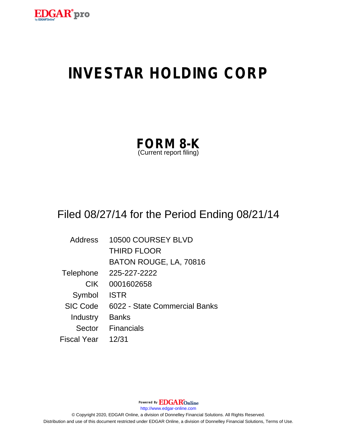

# **INVESTAR HOLDING CORP**

| <b>FORM 8-K</b>         |  |
|-------------------------|--|
| (Current report filing) |  |

## Filed 08/27/14 for the Period Ending 08/21/14

| <b>Address</b>  | 10500 COURSEY BLVD            |
|-----------------|-------------------------------|
|                 | <b>THIRD FLOOR</b>            |
|                 | BATON ROUGE, LA, 70816        |
| Telephone       | 225-227-2222                  |
| <b>CIK</b>      | 0001602658                    |
| Symbol          | <b>ISTR</b>                   |
| <b>SIC Code</b> | 6022 - State Commercial Banks |
| Industry        | Banks                         |
| Sector          | Financials                    |
| Fiscal Year     | 12/31                         |

Powered By **EDGAR**Online http://www.edgar-online.com © Copyright 2020, EDGAR Online, a division of Donnelley Financial Solutions. All Rights Reserved. Distribution and use of this document restricted under EDGAR Online, a division of Donnelley Financial Solutions, Terms of Use.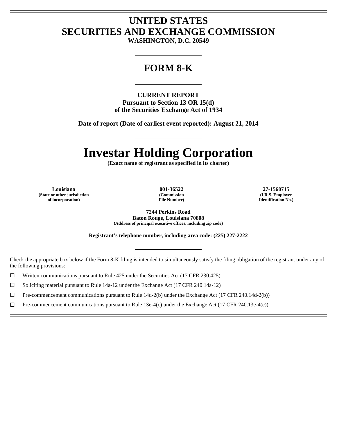### **UNITED STATES SECURITIES AND EXCHANGE COMMISSION**

**WASHINGTON, D.C. 20549** 

L

### **FORM 8-K**

L

**CURRENT REPORT Pursuant to Section 13 OR 15(d) of the Securities Exchange Act of 1934** 

**Date of report (Date of earliest event reported): August 21, 2014** 

L

## **Investar Holding Corporation**

**(Exact name of registrant as specified in its charter)** 

L

**Louisiana 001-36522 27-1560715 (State or other jurisdiction of incorporation)** 

 $\overline{a}$ Ē

 $\overline{a}$  $\overline{a}$ 

**(Commission File Number)** 

**(I.R.S. Employer Identification No.)** 

**7244 Perkins Road Baton Rouge, Louisiana 70808 (Address of principal executive offices, including zip code)** 

**Registrant's telephone number, including area code: (225) 227-2222** 

L

Check the appropriate box below if the Form 8-K filing is intended to simultaneously satisfy the filing obligation of the registrant under any of the following provisions:

 $\Box$  Written communications pursuant to Rule 425 under the Securities Act (17 CFR 230.425)

 $\Box$  Soliciting material pursuant to Rule 14a-12 under the Exchange Act (17 CFR 240.14a-12)

 $\Box$  Pre-commencement communications pursuant to Rule 14d-2(b) under the Exchange Act (17 CFR 240.14d-2(b))

 $\Box$  Pre-commencement communications pursuant to Rule 13e-4(c) under the Exchange Act (17 CFR 240.13e-4(c))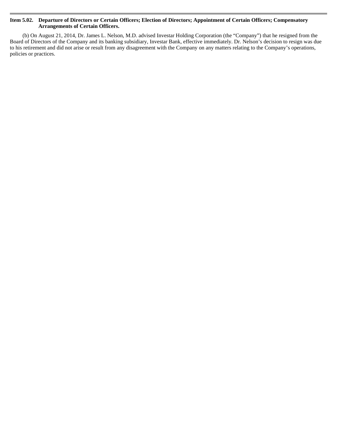#### **Item 5.02. Departure of Directors or Certain Officers; Election of Directors; Appointment of Certain Officers; Compensatory Arrangements of Certain Officers.**

(b) On August 21, 2014, Dr. James L. Nelson, M.D. advised Investar Holding Corporation (the "Company") that he resigned from the Board of Directors of the Company and its banking subsidiary, Investar Bank, effective immediately. Dr. Nelson's decision to resign was due to his retirement and did not arise or result from any disagreement with the Company on any matters relating to the Company's operations, policies or practices.